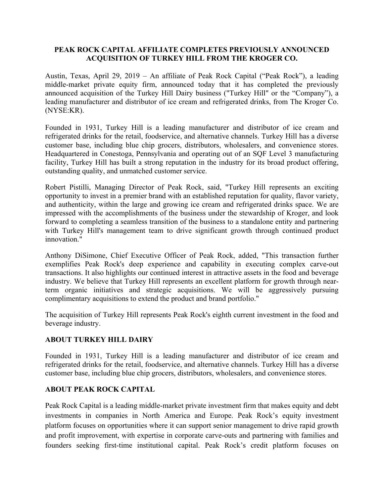## **PEAK ROCK CAPITAL AFFILIATE COMPLETES PREVIOUSLY ANNOUNCED ACQUISITION OF TURKEY HILL FROM THE KROGER CO.**

Austin, Texas, April 29, 2019 – An affiliate of Peak Rock Capital ("Peak Rock"), a leading middle-market private equity firm, announced today that it has completed the previously announced acquisition of the Turkey Hill Dairy business ("Turkey Hill" or the "Company"), a leading manufacturer and distributor of ice cream and refrigerated drinks, from The Kroger Co. (NYSE:KR).

Founded in 1931, Turkey Hill is a leading manufacturer and distributor of ice cream and refrigerated drinks for the retail, foodservice, and alternative channels. Turkey Hill has a diverse customer base, including blue chip grocers, distributors, wholesalers, and convenience stores. Headquartered in Conestoga, Pennsylvania and operating out of an SQF Level 3 manufacturing facility, Turkey Hill has built a strong reputation in the industry for its broad product offering, outstanding quality, and unmatched customer service.

Robert Pistilli, Managing Director of Peak Rock, said, "Turkey Hill represents an exciting opportunity to invest in a premier brand with an established reputation for quality, flavor variety, and authenticity, within the large and growing ice cream and refrigerated drinks space. We are impressed with the accomplishments of the business under the stewardship of Kroger, and look forward to completing a seamless transition of the business to a standalone entity and partnering with Turkey Hill's management team to drive significant growth through continued product innovation."

Anthony DiSimone, Chief Executive Officer of Peak Rock, added, "This transaction further exemplifies Peak Rock's deep experience and capability in executing complex carve-out transactions. It also highlights our continued interest in attractive assets in the food and beverage industry. We believe that Turkey Hill represents an excellent platform for growth through nearterm organic initiatives and strategic acquisitions. We will be aggressively pursuing complimentary acquisitions to extend the product and brand portfolio."

The acquisition of Turkey Hill represents Peak Rock's eighth current investment in the food and beverage industry.

## **ABOUT TURKEY HILL DAIRY**

Founded in 1931, Turkey Hill is a leading manufacturer and distributor of ice cream and refrigerated drinks for the retail, foodservice, and alternative channels. Turkey Hill has a diverse customer base, including blue chip grocers, distributors, wholesalers, and convenience stores.

## **ABOUT PEAK ROCK CAPITAL**

Peak Rock Capital is a leading middle‐market private investment firm that makes equity and debt investments in companies in North America and Europe. Peak Rock's equity investment platform focuses on opportunities where it can support senior management to drive rapid growth and profit improvement, with expertise in corporate carve-outs and partnering with families and founders seeking first-time institutional capital. Peak Rock's credit platform focuses on